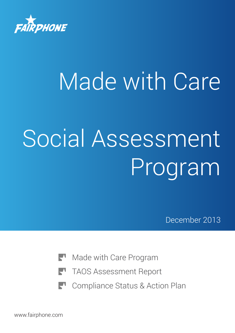

# Made with Care Social Assessment Program

December 2013

- Made with Care Program
- TAOS Assessment Report
- Compliance Status & Action Plan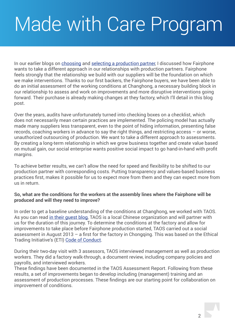# Made with Care Program

In our earlier blogs on [choosing](http://www.fairphone.com/2013/05/17/our-choice-for-production-partner/) and [selecting a production partner](http://www.fairphone.com/2013/03/28/selecting-a-production-partner/), I discussed how Fairphone wants to take a different approach in our relationships with production partners. Fairphone feels strongly that the relationship we build with our suppliers will be the foundation on which we make interventions. Thanks to our first backers, the Fairphone buyers, we have been able to do an initial assessment of the working conditions at Changhong, a necessary building block in our relationship to assess and work on improvements and more disruptive interventions going forward. Their purchase is already making changes at they factory, which I'll detail in this blog post.

Over the years, audits have unfortunately turned into checking boxes on a checklist, which does not necessarily mean certain practices are implemented. The policing model has actually made many suppliers less transparent, even to the point of hiding information, presenting false records, coaching workers in advance to say the right things, and restricting access – or worse, unauthorized outsourcing of production. We want to take a different approach to assessments. By creating a long-term relationship in which we grow business together and create value based on mutual gain, our social enterprise wants positive social impact to go hand-in-hand with profit margins.

To achieve better results, we can't allow the need for speed and flexibility to be shifted to our production partner with corresponding costs. Putting transparency and values-based business practices first, makes it possible for us to expect more from them and they can expect more from us in return.

# **So, what are the conditions for the workers at the assembly lines where the Fairphone will be produced and will they need to improve?**

In order to get a baseline understanding of the conditions at Changhong, we worked with TAOS. As you can read [in their guest blog](http://www.fairphone.com/2013/08/16/social-responsibility-introducing-taos-network/), TAOS is a local Chinese organization and will partner with us for the duration of this journey. To determine the conditions at the factory and allow for improvements to take place before Fairphone production started, TAOS carried out a social assessment in August 2013 – a first for the factory in Chongqing. This was based on the Ethical Trading Initiative's (ETI) [Code of Conduct.](http://www.ethicaltrade.org/eti-base-code)

During their two-day visit with 3 assessors, TAOS interviewed management as well as production workers. They did a factory walk-through, a document review, including company policies and payrolls, and interviewed workers.

These findings have been documented in the TAOS Assessment Report. Following from these results, a set of improvements began to develop including (management) training and an assessment of production processes. These findings are our starting point for collaboration on improvement of conditions.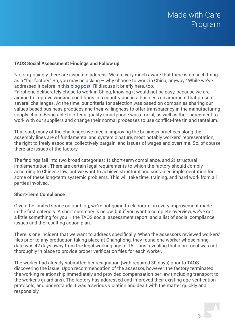# **TAOS Social Assessment: Findings and Follow up**

Not surprisingly there are issues to address. We are very much aware that there is no such thing as a "fair factory." So, you may be asking – why choose to work in China, anyway? While we've addressed it before [in this blog post](http://www.fairphone.com/2013/05/17/our-choice-for-production-partner/), I'll discuss it briefly here, too.

Fairphone deliberately chose to work in China, knowing it would not be easy, because we are aiming to improve working conditions in a country and in a business environment that present several challenges. At the time, our criteria for selection was based on companies sharing our values-based business practices and their willingness to offer transparency in the manufacturing supply chain. Being able to offer a quality smartphone was crucial, as well as their agreement to work with our suppliers and change their normal processes to use conflict-free tin and tantalum.

That said, many of the challenges we face in improving the business practices along the assembly lines are of fundamental and systemic nature, most notably workers' representation, the right to freely associate, collectively bargain, and issues of wages and overtime. So, of course there are issues at the factory.

The findings fall into two broad categories: 1) short-term compliance, and 2) structural implementation. There are certain legal requirements to which the factory should comply according to Chinese law, but we want to achieve structural and sustained implementation for some of these long-term systemic problems. This will take time, training, and hard work from all parties involved.

# **Short-Term Compliance**

Given the limited space on our blog, we're not going to elaborate on every improvement made in the first category. A short summary is below, but if you want a complete overview, we've got a little something for you – the TAOS social assessment report, and a list of social compliance issues and the resulting action plan.

There is one incident that we want to address specifically. When the assessors reviewed workers' files prior to any production taking place at Changhong, they found one worker whose hiring date was 42 days away from the legal working age of 16. Thus revealing that a protocol was not thoroughly in place to provide proper verification files for each worker.

The worker had already submitted her resignation (with required 30 days) prior to TAOS discovering the issue. Upon recommendation of the assessor, however, the factory terminated the working relationship immediately and provided compensation per law (including transport to the worker's guardians). The factory has addressed and improved their existing age-verification protocols, and understands it was a serious violation and dealt with the matter quickly and responsibly.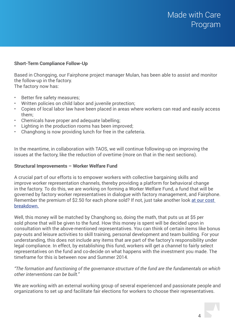# **Short-Term Compliance Follow-Up**

Based in Chongqing, our Fairphone project manager Mulan, has been able to assist and monitor the follow-up in the factory.

The factory now has:

- Better fire safety measures;
- Written policies on child labor and juvenile protection;
- Copies of local labor law have been placed in areas where workers can read and easily access them;
- Chemicals have proper and adequate labelling;
- Lighting in the production rooms has been improved;
- Changhong is now providing lunch for free in the cafeteria.

In the meantime, in collaboration with TAOS, we will continue following-up on improving the issues at the factory, like the reduction of overtime (more on that in the next sections).

# **Structural Improvements – Worker Welfare Fund**

A crucial part of our efforts is to empower workers with collective bargaining skills and improve worker representation channels, thereby providing a platform for behavioral change in the factory. To do this, we are working on forming a Worker Welfare Fund, a fund that will be governed by factory worker representatives in dialogue with factory management, and Fairphone. Remember the premium of \$2.50 for each phone sold? If not, just take another look at our cost [breakdown](http://www.fairphone.com/wp-content/uploads/2013/09/Fairphone_Cost_Breakdown_and_Key_Sept2013.pdf).

Well, this money will be matched by Changhong so, doing the math, that puts us at \$5 per sold phone that will be given to the fund. How this money is spent will be decided upon in consultation with the above-mentioned representatives. You can think of certain items like bonus pay-outs and leisure activities to skill training, personal development and team building. For your understanding, this does not include any items that are part of the factory's responsibility under legal compliance. In effect, by establishing this fund, workers will get a channel to fairly select representatives on the fund and co-decide on what happens with the investment you made. The timeframe for this is between now and Summer 2014.

*"The formation and functioning of the governance structure of the fund are the fundamentals on which other interventions can be built."*

We are working with an external working group of several experienced and passionate people and organizations to set up and facilitate fair elections for workers to choose their representatives.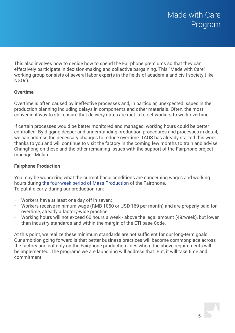This also involves how to decide how to spend the Fairphone premiums so that they can effectively participate in decision-making and collective bargaining. This "Made with Care" working group consists of several labor experts in the fields of academia and civil society (like NGOs).

# **Overtime**

Overtime is often caused by ineffective processes and, in particular, unexpected issues in the production planning including delays in components and other materials. Often, the most convenient way to still ensure that delivery dates are met is to get workers to work overtime.

If certain processes would be better monitored and managed, working hours could be better controlled. By digging deeper and understanding production procedures and processes in detail, we can address the necessary changes to reduce overtime. TAOS has already started this work thanks to you and will continue to visit the factory in the coming few months to train and advise Changhong on these and the other remaining issues with the support of the Fairphone project manager, Mulan.

# **Fairphone Production**

You may be wondering what the current basic conditions are concerning wages and working hours during [the four-week period of Mass Production](http://www.fairphone.com/2013/11/29/production-update-delivery-schedule/) of the Fairphone. To put it clearly, during our production run:

- Workers have at least one day off in seven;
- Workers receive minimum wage (RMB 1050 or USD 169 per month) and are properly paid for overtime, already a factory-wide practice;
- Working hours will not exceed 60 hours a week above the legal amount (49/week), but lower than industry standards and within the margin of the ETI base Code.

At this point, we realize these minimum standards are not sufficient for our long-term goals. Our ambition going forward is that better business practices will become commonplace across the factory and not only on the Fairphone production lines where the above requirements will be implemented. The programs we are launching will address that. But, it will take time and commitment.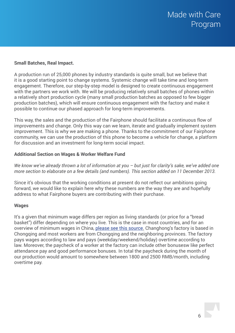# **Small Batches, Real Impact.**

A production run of 25,000 phones by industry standards is quite small, but we believe that it is a good starting point to change systems. Systemic change will take time and long-term engagement. Therefore, our step-by-step model is designed to create continuous engagement with the partners we work with. We will be producing relatively small batches of phones within a relatively short production cycle (many small production batches as opposed to few bigger production batches), which will ensure continuous engagement with the factory and make it possible to continue our phased approach for long-term improvements.

This way, the sales and the production of the Fairphone should facilitate a continuous flow of improvements and change. Only this way can we learn, iterate and gradually implement system improvement. This is why we are making a phone. Thanks to the commitment of our Fairphone community, we can use the production of this phone to become a vehicle for change, a platform for discussion and an investment for long-term social impact.

# **Additional Section on Wages & Worker Welfare Fund**

*We know we've already thrown a lot of information at you – but just for clarity's sake, we've added one more section to elaborate on a few details (and numbers). This section added on 11 December 2013.*

Since it's obvious that the working conditions at present do not reflect our ambitions going forward, we would like to explain here why these numbers are the way they are and hopefully address to what Fairphone buyers are contributing with their purchase.

# **Wages**

It's a given that minimum wage differs per region as living standards (or price for a "bread basket") differ depending on where you live. This is the case in most countries, and for an overview of minimum wages in China, [please see this source](http://www.china-briefing.com/news/2013/01/28/a-complete-guide-to-chinas-minimum-wage-levels-by-province-city-and-district.html). Changhong's factory is based in Chongqing and most workers are from Chongqing and the neighboring provinces. The factory pays wages according to law and pays (weekday/weekend/holiday) overtime according to law. Moreover, the paycheck of a worker at the factory can include other bonusesw like perfect attendance pay and good performance bonuses. In total the paycheck during the month of our production would amount to somewhere between 1800 and 2500 RMB/month, including overtime pay.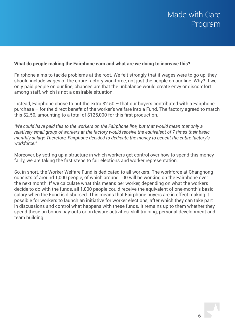# **What do people making the Fairphone earn and what are we doing to increase this?**

Fairphone aims to tackle problems at the root. We felt strongly that if wages were to go up, they should include wages of the entire factory workforce, not just the people on our line. Why? If we only paid people on our line, chances are that the unbalance would create envy or discomfort among staff, which is not a desirable situation.

Instead, Fairphone chose to put the extra  $$2.50 - that$  our buyers contributed with a Fairphone purchase – for the direct benefit of the worker's welfare into a Fund. The factory agreed to match this \$2.50, amounting to a total of \$125,000 for this first production.

*"We could have paid this to the workers on the Fairphone line, but that would mean that only a relatively small group of workers at the factory would receive the equivalent of 7 times their basic monthly salary! Therefore, Fairphone decided to dedicate the money to benefit the entire factory's workforce."*

Moreover, by setting up a structure in which workers get control over how to spend this money fairly, we are taking the first steps to fair elections and worker representation.

So, in short, the Worker Welfare Fund is dedicated to all workers. The workforce at Changhong consists of around 1,000 people, of which around 100 will be working on the Fairphone over the next month. If we calculate what this means per worker, depending on what the workers decide to do with the funds, all 1,000 people could receive the equivalent of one-month's basic salary when the Fund is disbursed. This means that Fairphone buyers are in effect making it possible for workers to launch an initiative for worker elections, after which they can take part in discussions and control what happens with these funds. It remains up to them whether they spend these on bonus pay-outs or on leisure activities, skill training, personal development and team building.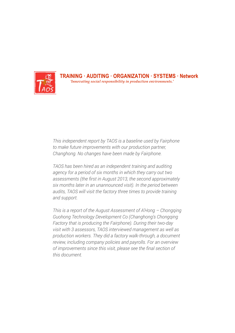

**TRAINING · AUDITING · ORGANIZATION · SYSTEMS · Network** *'Innovating social responsibility in production environments.'*

*This independent report by TAOS is a baseline used by Fairphone to make future improvements with our production partner,* changhong. No changes have been made by Fairphone.

*TAOS has been hired as an independent training and auditing* agency for a period of six months in which they carry out two assessments (the first in August 2013, the second approximately  $\frac{1}{2}$ **Workforce** *audits, TAOS will visit the factory three times to provide training six months later in an unannounced visit). In the period between and support.* 

67% 359 *Guohong Technology Development Co (Changhong's Chongqing*  33% *This is a report of the August Assessment of A'Hong – Chongqing*  review, including company policies and payrolls. For an overview of improvements since this visit, please see the final section of *Factory that is producing the Fairphone). During their two-day visit with 3 assessors, TAOS interviewed management as well as production workers. They did a factory walk-through, a document this document.*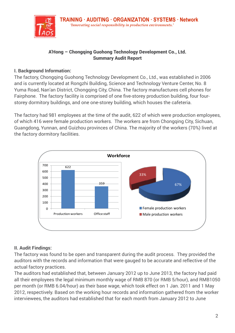

# A'Hong – Chongqing Guohong Technology Development Co., Ltd. **Summary'Audit'Report** Summary Audit Report

# **I. Background Information: I.'Background'Information**:

The factory, Chongqing Guohong Technology Development Co., Ltd., was established in 2006 and is currently located at Rongzhi Building, Science and Technology Venture Center, No. 8 Yuma Road, Nan'an District, Chongqing City, China. The factory manufactures cell phones for Fairphone. The factory facility is comprised of one five-storey production building, four fourstorey dormitory buildings, and one one-storey building, which houses the cafeteria. and identity identity is comprised of the Rocated y production building, four four The internation, Chongqing Guoding Guoding Guoding Guoding Guoding Co., Ltd., in: Ltd., co., 2006. In: 2006. In: 2006. In: Ltd., Co., 2006. In: Development Co., 2006. In: Development Co., 2006. In: Development Co., 2006. and igaing dudnong Technology Development Co., Ltd., was established in Zut Store factory facility is comprised of one five-storey production building

The factory had 981 employees at the time of the audit, 622 of which were production employees, of which 416 were female production workers. The workers are from Chongqing City, Sichuan, Guangdong, Yunnan, and Guizhou provinces of China. The majority of the workers (70%) lived at the factory dormitory facilities.  $e^{\frac{1}{2}}$  . The matrix  $e^{\frac{1}{2}t}$  were contained to the contact the chong  $t$ ,  $\frac{1}{2}$ ,  $\frac{1}{2}$ ,  $\frac{1}{2}$ ,  $\frac{1}{2}$ Sichuan, Guangdong, Guangdong, Sichuan, The Provinces! of the United States of the United States of the United States of the United States of the United States of the United States of the United States of the United States



### **II. Audit Findings:** The!factory!was!found!to!be!open!and!transparent!during!the!audit!process.!!They!provided!the! compensated! All the international minimum in the international minimum in the international monoperation of  $R$

The factory was found to be open and transparent during the audit process. They provided the auditors with the records and information that were gauged to be accurate and reflective of the 1 actual factory practices. That, is also between that, is also between the factory  $\mathbf{p}_1$ auditys.<br>Information: with the records and information that were gauged to be accurate and reflective of the flexibilit , was found to be ope 5/hour), and!RMB1050!per!month!(or!RMB 6.04/hour) as!their!base!wage,!which!took!effect!on!

The auditors had established that, between January 2012 up to June 2013, the factory had paid all their employees the legal minimum monthly wage of RMB 870 (or RMB 5/hour), and RMB1050 per month (or RMB 6.04/hour) as their base wage, which took effect on 1 Jan. 2011 and 1 May 1 2012, respectively. Based on the working hour records and information gathered from the worker interviewees, the auditors had established that for each month from January 2012 to June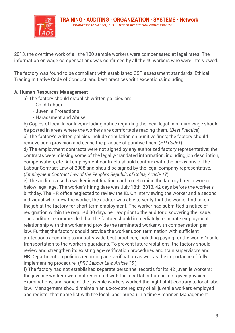

2013, the overtime work of all the 180 sample workers were compensated at legal rates. The information on wage compensations was confirmed by all the 40 workers who were interviewed.

The factory was found to be compliant with established CSR assessment standards, Ethical Trading Initiative Code of Conduct, and best practices with exceptions including:

# **A. Human Resources Management** Fairphone.!!The! factory! facility!is!comprised!of!one! fiveNstorey!production!building,! four! fourN

- a) The factory should establish written policies on: storey!dormitory!buildings,!and!one!oneNstorey!building,!which!houses!the!cafeteria.!!
	- Child Labour
	- Juvenile Protections and and 416 were female production workers. And workers are for the workers are for the
	- Harassment and Abuse

the contract of local labor law, including notice regarding the local legal minimum wage should b) Copies of local labor law, including notice regarding the local legal minimum wage should be posted in areas where the workers are comfortable reading them. (*Best Practice*) c) The factory's written policies include stipulation on punitive fines; the factory should remove such provision and cease the practice of punitive fines. *(ETI Code1)* d) The employment contracts were not signed by any authorized factory representative; the 600 contracts were missing some of the legally-mandated information, including job description, 33% 500 compensation, etc. All employment contracts should conform with the provisions of the Labour Contract Law of 2008 and should be signed by the legal company representative. (*Employment Contract Law of the People's Republic of China, Article 17*) 200

e) The auditors used a worker identification card to determine the factory hired a worker  $\overline{\mathsf{b}}$ elow legal age. The worker's hiring date was July 18th, 2013, 42 days before the worker's birthday. The HR office neglected to review the ID. On interviewing the worker and a second birthday. The HR office neglected to review the ID. On interviewing the worker and a second individual who knew the worker, the auditor was able to verify that the worker had taken the job at the factory for short term employment. The worker had submitted a notice of resignation within the required 30 days per law prior to the auditor discovering the issue.<br>— The auditors recommended that the factory should immediately terminate employment relationship with the worker and provide the terminated worker with compensation per law. Further, the factory should provide the worker upon termination with sufficient protections according to industry-wide best practices, including paying for the worker's safe procedulation decorraing to madelity made sect practicely including paying for the moments of the stablished in review and strengthen its existing age-verification procedures and train supervisors and HR Department on policies regarding age verification as well as the importance of fully implementing procedure. (*PRC Labour Law, Article 15.*)  $\eta$  cation to the workers guarularis. To prevent future violations, the factory shot

f) The factory had not established separate personnel records for its 42 juvenile workers; the juvenile workers were not registered with the local labor bureau, not given physical examinations, and some of the juvenile workers worked the night shift contrary to local labor law. Management should maintain an up-to-date registry of all juvenile workers employed and register that name list with the local labor bureau in a timely manner. Management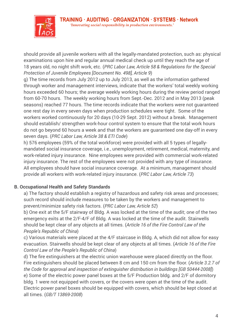



should provide all juvenile workers with all the legally-mandated protection, such as: physical examinations upon hire and regular annual medical check up until they reach the age of 18 years old, no night shift work, etc. (*PRC Labor Law, Article 58 & Regulations for the Special* Protection of Juvenile Employees [Document No. 498], Article 9)

g) The time records from July 2012 up to July 2013, as well as the information gathered through worker and management interviews, indicate that the workers' total weekly working hours exceeded 60 hours; the average weekly working hours during the review period ranged from 60-70 hours. The weekly working hours from Sept.-Dec. 2012 and in May 2013 (peak seasons) reached 77 hours. The time records indicate that the workers were not guaranteed one rest day in every seven days when production schedules were tight. Some of the workers worked continuously for 20 days (10-29 Sept. 2012) without a break. Management monter in the committeen, it is the traje (10 Septi Seris). Intities the total management should establish/ strengthen work-hour control system to ensure that the total work hours do not go beyond 60 hours a week and that the workers are guaranteed one day-off in every **Reven days.** (*PRC Labor Law, Article 38 & ETI Code*) store to hous, and average weekly working house during are review

h) 576 employees (59% of the total workforce) were provided with all 5 types of legallymandated social insurance coverage, i.e., unemployment, retirement, medical, maternity, and 600 work-related injury insurance. Nine employees were provided with commercial work-related injury insurance. The rest of the employees were not provided with any type of insurance. All employees should have social insurance coverage. At a minimum, management should provide all workers with work-related injury insurance. (PRC Labor Law, Article 73)

# **B. Occupational Health and Safety Standards** 0

ecoparteman count and cares, commance<br>a) The factory should establish a registry of hazardous and safety risk areas and processes; such record should include measures to be taken by the workers and management to prevent/minimize safety risk factors. (*PRC Labor Law, Article 52*)

b) One exit at the 5/F stairway of Bldg. A was locked at the time of the audit; one of the two emergency exits at the 2/F-4/F of Bldg. A was locked at the time of the audit. Stairwells should be kept clear of any objects at all times. (Article 16 of the Fire Control Law of the People's Republic of China)

c) Various materials were placed at the 4/F staircase in Bldg. A, which did not allow for easy evacuation. Stairwells should be kept clear of any objects at all times. (*Article 16 of the Fire* exacuation. Stairwells should be kept clear of any objects at all times. (*Article 16 of the Fire* Control Law of the People's Republic of China)  $\frac{1}{2}$  all  $\frac{1}{2}$  should be kept clear of any objects at all times. (Anticle To or the

d) The fire extinguishers at the electric union warehouse were placed directly on the floor. Fire extinguishers should be placed between 8 cm and 150 cm from the floor. (*Article 3.2.7 of*  1 *the Code for approval and inspection of extinguisher distribution in buildings [GB 50444-2008]*) e) Some of the electric power panel boxes at the 5/F Production bldg. and 2/F of dormitory bldg. 1 were not equipped with covers, or the covers were open at the time of the audit. Electric power panel boxes should be equipped with covers, which should be kept closed at all times. (*GB/T 13869-2008*)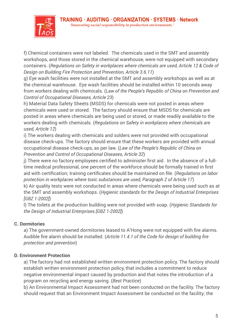

f) Chemical containers were not labeled. The chemicals used in the SMT and assembly workshops, and those stored in the chemical warehouse, were not equipped with secondary containers. (*Regulations on Safety in workplaces where chemicals are used, Article 12 & Code of*  **I.'Background'Information**: Design on Building Fire Protection and Prevention, Article 3.6.11)

g) Eye wash facilities were not installed at the SMT and assembly workshops as well as at the chemical warehouse. Eye wash facilities should be installed within 10 seconds away from workers dealing with chemicals. (Law of the People's Republic of China on Prevention and now homeoned a stamp minimization (2001). The except one passive one came one<br>Control of Occupational Diseases, Article 23)

h) Material Data Safety Sheets (MSDS) for chemicals were not posted in areas where chemicals were used or stored. The factory should ensure that MSDS for chemicals are posted in areas where chemicals are being used or stored, or made readily available to the .<br>workers dealing with chemicals. (*Regulations on Safety in workplaces where chemicals are used, Article 12*)

i) The workers dealing with chemicals and solders were not provided with occupational disease check-ups. The factory should ensure that these workers are provided with annual occupational disease check-ups, as per law. (*Law of the People's Republic of China on*  622 Prevention and Control of Occupational Diseases, Article 32) pna

j) There were no factory employees certified to administer first aid. In the absence of a full-  $\,$ time medical professional, one percent of the workforce should be formally trained in first aid with certification; training certificates should be maintained on file. (*Regulations on labor protection in workplaces where toxic substances are used, Paragraph 2 of Article 17*) 100 k) Air quality tests were not conducted in areas where chemicals were being used such as at the SMT and assembly workshops. (Hygienic standards for the Design of Industrial Enterprises

*[GBZ 1-2002]*)

l) The toilets at the production building were not provided with soap. (*Hygienic Standards for the Design of Industrial Enterprises [GBZ 1-2002]***)** 

## **C. Dormitories** The!factory!was!found!to!be!open!and!transparent!during!the!audit!process.!!They!provided!the!

a) The government-owned dormitories leased to A'Hong were not equipped with fire alarms. Audible fire alarm should be installed. (*Article 11.4.1 of the Code for design of building fire*   $\frac{1}{2}$  protection and prevention) and the stablished that, we had the stablished to  $\frac{1}{2}$  $\mathsf{e}\mathsf{s}$  with the records! and information that were gauged to be accurate. community provided the international monthly! was alleged to the community of  $R$ 

# **D. Environment Protection**

a) The factory had not established written environment protection policy. The factory should 1 establish written environment protection policy, that includes a commitment to reduce negative environmental impact caused by production and that notes the introduction of a program on recycling and energy saving. (*Best Practice*)

b) An Environmental Impact Assessment had not been conducted on the facility. The factory should request that an Environment Impact Assessment be conducted on the facility; the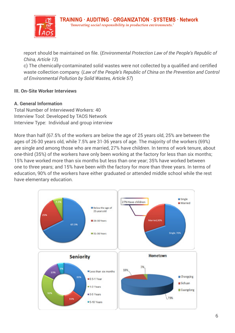

report should be maintained on file. (*Environmental Protection Law of the People's Republic of China, Article 13*)

c) The chemically-contaminated solid wastes were not collected by a qualified and certified waste collection company. (L*aw of the People's Republic of China on the Prevention and Control* of Environmental Pollution by Solid Wastes, Article 57)

## **III. On-Site Worker Interviews** storey!download? buildings, and one Nstorey! building, which houses! the cafeteria. Which houses! the cafeteria

### **A. General Information**  $\blacksquare$

Total Number of Interviewed Workers: 40  $\,$ **Interview Tool: Developed by TAOS Network Interview Tool:** Developed by TAOS Network Interview Type: Individual and group interview *Prevention%and%Control%of%Environmental%Pollution%by%Solid%Wastes,%Article%57*) **A.'General Information**

More than half (67.5% of the workers are below the age of 25 years old, 25% are between the ages of 26-30 years old, while 7.5% are 31-36 years of age. The majority of the workers (69%) are single and among those who are married, 27% have children. In terms of work tenure, about one-third (35%) of the workers have only been working at the factory for less than six months; 15% have worked more than six months but less than one year; 35% have worked between one to three years; and 15% have been with the factory for more than three years. In terms of education, 90% of the workers have either graduated or attended middle school while the rest have elementary education. ar  $\overline{\text{na}}$ If (67.5% of the workers are below  $\frac{30}{30}$  of the workers have only been working at the factory for less than six in between!one!to!three!years;!and!15%!have!been!with!the!factory!for!more!than!three!years.!!!In!  $t$ ttary education.

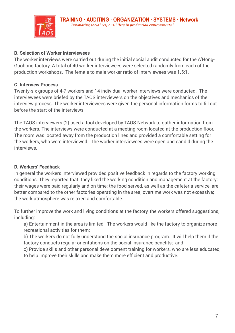

# **B. Selection of Worker Interviewees**

The worker interviews were carried out during the initial social audit conducted for the A'Hong-Guohong factory. A total of 40 worker interviewees were selected randomly from each of the production workshops. The female to male worker ratio of interviewees was 1.5:1.

# **C. Interview Process <b>EXECUTER:** Nanta Factory manufactures in the factory manufactures of the factory of the factory of the factory of the factory manufactures in the factory of the factory of the factory of the factory

Twenty-six groups of 4-7 workers and 14 individual worker interviews were conducted. The interviewees were briefed by the TAOS interviewers on the objectives and mechanics of the interview process. The worker interviewees were given the personal information forms to fill out before the start of the interviews.  $\blacksquare$ 

The TAOS interviewers (2) used a tool developed by TAOS Network to gather information from the workers. The interviews were conducted at a meeting room located at the production floor. The room was located away from the production lines and provided a comfortable setting for the workers, who were interviewed. The worker interviewees were open and candid during the<br>. . . . interviews.

# **D. Workers' Feedback**

In general the workers interviewed provided positive feedback in regards to the factory working conditions. They reported that: they liked the working condition and management at the factory; their wages were paid regularly and on time; the food served, as well as the cafeteria service, are better compared to the other factories operating in the area; overtime work was not excessive; the work atmosphere was relaxed and comfortable.

To further improve the work and living conditions at the factory, the workers offered suggestions,<br>includings including: The!factory!was!found!to!be!open!and!transparent!during!the!audit!process.!!They!provided!the!

a) Entertainment in the area is limited. The workers would like the factory to organize more recreational activities for them; rtainment in the area is limited. The workers would like the factory to organize  $\overline{\phantom{a}}$ 

b) The workers do not fully understand the social insurance program. It will help them if the factory conducts regular orientations on the social insurance benefits; and

ractory conducto regular onemations on the cooldritionalined benefite, and<br>c) Provide skills and other personal development training for workers, who are less educated, to help improve their skills and make them more efficient and productive. de Skins and Other personal development training for workers, who are less edu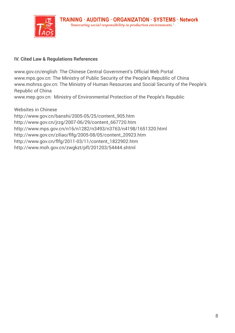

# **IV. Cited Law & Regulations References**

www.gov.cn/english: The Chinese Central Government's Official Web Portal **I.'Background'Information**: www.mps.gov.cn: The Ministry of Public Security of the People's Republic of China www.mohrss.gov.cn: The Ministry of Human Resources and Social Security of the People's Republic of China /engilsh. The Ghinese Gentral Government's Onicial Web Portal  $F$ china.

.<br>www.mep.gov.cn: Ministry of Environmental Protection of the People's Republic

Websites in Chinese http://www.gov.cn/banshi/2005-05/25/content\_905.htm http://www.gov.cn/jrzg/2007-06/29/content\_667720.htm http://www.mps.gov.cn/n16/n1282/n3493/n3763/n4198/1651320.html http://www.gov.cn/ziliao/flfg/2005-08/05/content\_20923.htm **Workforce** http://www.gov.cn/flfg/2011-03/11/content\_1822902.htm 700 http://www.moh.gov.cn/zwgkzt/pfl/201203/54444.shtml 622 employees, and the model production workers. The workers are the workers. The workers are the chongqing! <u>on</u>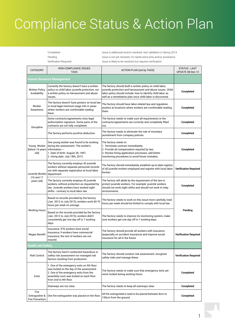# Compliance Status & Action Plan

Completed Issue is addressed and/or resolved, next validation in Spring 2014 Pending Pending Issue is not yet resolved, CH needs extra time and/or assistance Verification Required **Issue is likely to be resolved, but requires verification** 

| <b>CATEGORY</b>                                          | <b>NON-COMPLIANCE ISSUES</b><br><b>TAOS</b>                                                                                                                                                          | <b>ACTION PLAN (set by TAOS)</b>                                                                                                                                                                                                                      | <b>STATUS - LAST</b><br>UPDATE 08-Dec-13 |
|----------------------------------------------------------|------------------------------------------------------------------------------------------------------------------------------------------------------------------------------------------------------|-------------------------------------------------------------------------------------------------------------------------------------------------------------------------------------------------------------------------------------------------------|------------------------------------------|
|                                                          | Human Resource Management                                                                                                                                                                            |                                                                                                                                                                                                                                                       |                                          |
| <b>Written Policy</b><br>Availability                    | Currently the factory doesn't have a written<br>policy on child labor, juvenile protection, nor<br>a written policy on harrassment and abuse<br>issues.                                              | The factory should draft a written policy on child labor,<br>juvenile protection and harrassment and abuse issues. Child<br>labor policy should include, how to identify child labor as<br>well as a remediation plan once child labor is discovered. | Completed                                |
| Worker<br>Awareness                                      | The factory doesn't have posters on local law<br>or local legal minimum wage info in areas<br>where workers are comfortable reading<br>them.                                                         | The factory should have labor-related law and regulation<br>posters at locations where workers are comfortable reading<br>them.                                                                                                                       | Completed                                |
| Discipline                                               | Some contracts/agreements miss legal<br>authorization signature. Some parts of the<br>contracts are not fully completed.                                                                             | The factory needs to make sure all requirements in the<br>contracts/agreements are correctly and completely filled<br>out.                                                                                                                            | Completed                                |
|                                                          | The factory performs punitive deduction.                                                                                                                                                             | The factory needs to eliminate the rule of monetary<br>punishment from company policies.                                                                                                                                                              | Completed                                |
| Young Worker<br>(below 16 years   information --<br>old) | One young worker was found to be working<br>during the assessment. The worker's<br>1. Date of birth: August 28, 1997;<br>2. Hiring date: July 18th, 2013.                                            | The factory needs to:<br>1. Terminate contract immediately;<br>2. Provide all compensation required by law;<br>3. Review hiring application processes, add better<br>monitoring procedures to avoid future mistakes.                                  | Completed                                |
| Juvenile Worker department.<br>(16 and 17)<br>years old) | The factory currently employs 43 juvenile<br>workers without separate personnel records<br>nor with separate registration at local labor                                                             | The factory should immediately establish up-to-date registry<br>of all juvenile workers employed and register with local labor<br>bureau.                                                                                                             | <b>Verification Required</b>             |
|                                                          | The factory currently employs 43 juvenile<br>workers, without protection as requested by<br>law. Juvenile workers have worked night<br>shifts - contrary to local labor law.                         | The factory will abide by the requirement of the law to<br>protect juvenile workers. For example: juvenile workers<br>should not work night shifts and should not work in risky<br>environments.                                                      | Completed                                |
| <b>Working Hours</b>                                     | Based on records provided by the factory<br>(Jan. 2012 to July 2013), workers work 60-70<br>hours per week on average.                                                                               | The factory needs to work on this issue more carefully, total<br>hours per week should be limited to comply with local law.                                                                                                                           | Pending                                  |
|                                                          | Based on the records provided by the factory<br>(Jan. 2012 to July 2013), workers didn't<br>consistently get one day off in 7 working<br>days.                                                       | The factory needs to improve its monitoring system, make<br>sure workers get one day off in 7 working days.                                                                                                                                           |                                          |
| <b>Wages Benefit</b>                                     | Insurance, 576 workers have social<br>insurance, 9 workers have commercial<br>insurance, the rest of workers are not<br>insured.                                                                     | The factory should provide all workers with insurance<br>(especially on accident insurance) and improve social<br>insurance for all in the future.                                                                                                    | <b>Verification Required</b>             |
| <b>Health and Safety</b>                                 |                                                                                                                                                                                                      |                                                                                                                                                                                                                                                       |                                          |
| <b>Risk Control</b>                                      | The factory hasn't conducted hazardous or<br>safety risk assessment nor managed risk<br>factors resulting from production.                                                                           | The factory should conduct risk assessment, recognize<br>safety risks and manage these.                                                                                                                                                               | <b>Verification Required</b>             |
| Exits                                                    | 1. One of the emergency exits on 5th floor<br>was locked on the day of the assessment.<br>2. One of the emergency exits from the<br>assembly room was locked on each floor<br>from 2nd to 4th floor. | The factory needs to make sure that emergency exits are<br>never locked during working hours.                                                                                                                                                         | Completed                                |
|                                                          | Stairways are not clear.                                                                                                                                                                             | The factory needs to keep all stairways clear.                                                                                                                                                                                                        | Completed                                |
| Fire<br>Extinguisher &<br><b>Fire Prevention</b>         | One fire extinguisher was placed on the floor.                                                                                                                                                       | All fire extinguishers need to be placed between 8cm to<br>150cm from the ground.                                                                                                                                                                     | Completed                                |

besides the electrician 1